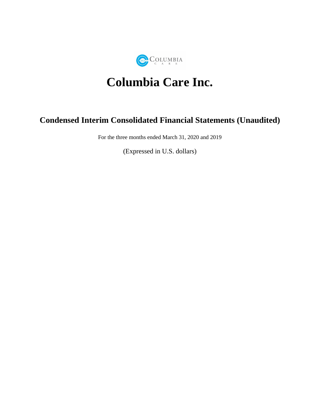

# **Columbia Care Inc.**

# **Condensed Interim Consolidated Financial Statements (Unaudited)**

For the three months ended March 31, 2020 and 2019

(Expressed in U.S. dollars)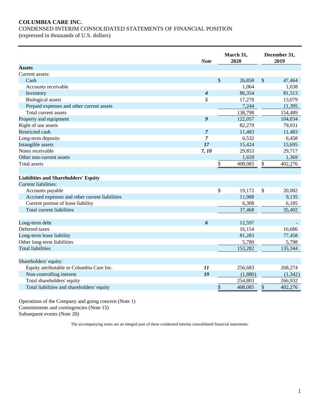# **COLUMBIA CARE INC.** CONDENSED INTERIM CONSOLIDATED STATEMENTS OF FINANCIAL POSITION

(expressed in thousands of U.S. dollars)

|                                                | <b>Note</b>      | March 31,<br>2020 |         |              | December 31,<br>2019 |
|------------------------------------------------|------------------|-------------------|---------|--------------|----------------------|
| <b>Assets</b>                                  |                  |                   |         |              |                      |
| Current assets:                                |                  |                   |         |              |                      |
| Cash                                           |                  | \$                | 26,858  | $\sqrt$      | 47,464               |
| Accounts receivable                            |                  |                   | 1,064   |              | 1,038                |
| Inventory                                      | $\boldsymbol{4}$ |                   | 86,354  |              | 81,513               |
| <b>Biological</b> assets                       | 5                |                   | 17,278  |              | 13,079               |
| Prepaid expenses and other current assets      |                  |                   | 7,244   |              | 11,395               |
| Total current assets                           |                  |                   | 138,798 |              | 154,489              |
| Property and equipment                         | 9                |                   | 122,057 |              | 104,034              |
| Right of use assets                            |                  |                   | 82,279  |              | 79,031               |
| Restricted cash                                | $\overline{7}$   |                   | 11,483  |              | 11,483               |
| Long-term deposits                             | 7                |                   | 6,532   |              | 6,458                |
| Intangible assets                              | 17               |                   | 15,424  |              | 15,695               |
| Notes receivable                               | 7, 10            |                   | 29,853  |              | 29,717               |
| Other non-current assets                       |                  |                   | 1,659   |              | 1,369                |
| <b>Total assets</b>                            |                  | \$                | 408,085 | \$           | 402,276              |
|                                                |                  |                   |         |              |                      |
| <b>Liabilities and Shareholders' Equity</b>    |                  |                   |         |              |                      |
| Current liabilities:                           |                  |                   |         |              |                      |
| Accounts payable                               |                  | \$                | 19,172  | $\mathbb{S}$ | 20,082               |
| Accrued expenses and other current liabilities |                  |                   | 11,988  |              | 9,135                |
| Current portion of lease liability             |                  |                   | 6,308   |              | 6,185                |
| Total current liabilities                      |                  |                   | 37,468  |              | 35,402               |
|                                                |                  |                   |         |              |                      |
| Long-term debt                                 | 6                |                   | 12,597  |              |                      |
| Deferred taxes                                 |                  |                   | 16,154  |              | 16,686               |
| Long-term lease liability                      |                  |                   | 81,283  |              | 77,458               |
| Other long-term liabilities                    |                  |                   | 5,780   |              | 5,798                |
| <b>Total liabilities</b>                       |                  |                   | 153,282 |              | 135,344              |
|                                                |                  |                   |         |              |                      |
| Shareholders' equity:                          |                  |                   |         |              |                      |
| Equity attributable to Columbia Care Inc.      | 11               |                   | 256,683 |              | 268,274              |
| Non-controlling interest                       | 19               |                   | (1,880) |              | (1, 342)             |
| Total shareholders' equity                     |                  |                   | 254,803 |              | 266,932              |
| Total liabilities and shareholders' equity     |                  | $\underline{\$}$  | 408,085 | \$           | 402,276              |

Operations of the Company and going concern (Note 1) Commitments and contingencies (Note 15) Subsequent events (Note 20)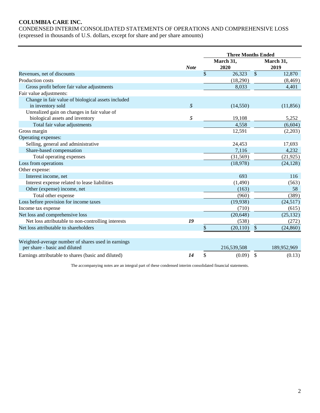# **COLUMBIA CARE INC.**

CONDENSED INTERIM CONSOLIDATED STATEMENTS OF OPERATIONS AND COMPREHENSIVE LOSS (expressed in thousands of U.S. dollars, except for share and per share amounts)

|                                                     |             |              |                   | <b>Three Months Ended</b> |                   |  |  |
|-----------------------------------------------------|-------------|--------------|-------------------|---------------------------|-------------------|--|--|
|                                                     | <b>Note</b> |              | March 31,<br>2020 |                           | March 31,<br>2019 |  |  |
| Revenues, net of discounts                          |             | $\mathbb{S}$ | 26,323            | $\mathcal{S}$             | 12,870            |  |  |
| Production costs                                    |             |              | (18,290)          |                           | (8, 469)          |  |  |
| Gross profit before fair value adjustments          |             |              | 8,033             |                           | 4,401             |  |  |
| Fair value adjustments:                             |             |              |                   |                           |                   |  |  |
| Change in fair value of biological assets included  |             |              |                   |                           |                   |  |  |
| in inventory sold                                   | 5           |              | (14, 550)         |                           | (11, 856)         |  |  |
| Unrealized gain on changes in fair value of         |             |              |                   |                           |                   |  |  |
| biological assets and inventory                     | 5           |              | 19,108            |                           | 5,252             |  |  |
| Total fair value adjustments                        |             |              | 4,558             |                           | (6, 604)          |  |  |
| Gross margin                                        |             |              | 12,591            |                           | (2,203)           |  |  |
| Operating expenses:                                 |             |              |                   |                           |                   |  |  |
| Selling, general and administrative                 |             |              | 24,453            |                           | 17,693            |  |  |
| Share-based compensation                            |             |              | 7,116             |                           | 4,232             |  |  |
| Total operating expenses                            |             |              | (31,569)          |                           | (21, 925)         |  |  |
| Loss from operations                                |             |              | (18,978)          |                           | (24, 128)         |  |  |
| Other expense:                                      |             |              |                   |                           |                   |  |  |
| Interest income, net                                |             |              | 693               |                           | 116               |  |  |
| Interest expense related to lease liabilities       |             |              | (1,490)           |                           | (563)             |  |  |
| Other (expense) income, net                         |             |              | (163)             |                           | 58                |  |  |
| Total other expense                                 |             |              | (960)             |                           | (389)             |  |  |
| Loss before provision for income taxes              |             |              | (19,938)          |                           | (24,517)          |  |  |
| Income tax expense                                  |             |              | (710)             |                           | (615)             |  |  |
| Net loss and comprehensive loss                     |             |              | (20, 648)         |                           | (25, 132)         |  |  |
| Net loss attributable to non-controlling interests  | 19          |              | (538)             |                           | (272)             |  |  |
| Net loss attributable to shareholders               |             | \$           | (20, 110)         | \$                        | (24, 860)         |  |  |
| Weighted-average number of shares used in earnings  |             |              |                   |                           |                   |  |  |
| per share - basic and diluted                       |             |              | 216,539,508       |                           | 189,952,969       |  |  |
| Earnings attributable to shares (basic and diluted) | 14          | \$           | (0.09)            | \$                        | (0.13)            |  |  |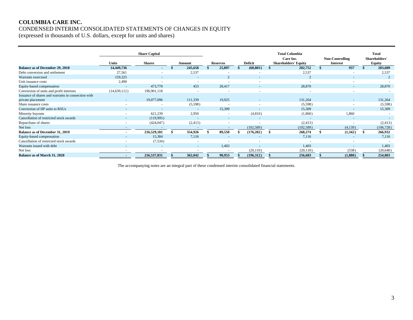# **COLUMBIA CARE INC.** CONDENSED INTERIM CONSOLIDATED STATEMENTS OF CHANGES IN EQUITY

(expressed in thousands of U.S. dollars, except for units and shares)

|                                                    | <b>Units</b>             | <b>Share Capital</b><br><b>Shares</b> | Amount |                | <b>Reserves</b> | Deficit    |   | <b>Total Columbia</b><br>Care Inc.<br><b>Shareholders' Equity</b> | Non-Controlling<br><b>Interest</b> | <b>Total</b><br>Shareholders'<br><b>Equity</b> |
|----------------------------------------------------|--------------------------|---------------------------------------|--------|----------------|-----------------|------------|---|-------------------------------------------------------------------|------------------------------------|------------------------------------------------|
| <b>Balance as of December 29, 2018</b>             | 14,449,736               | $\sim$                                |        | 245,658        | 25,897          | (68, 803)  |   | 202,752                                                           | 937                                | 203,689                                        |
| Debt conversion and settlement                     | 27,561                   |                                       |        | 2,537          |                 |            |   | 2,537                                                             |                                    | 2,537                                          |
| Warrants exercised                                 | 159,325                  |                                       |        |                |                 | $\sim$     |   |                                                                   |                                    |                                                |
| Unit issuance costs                                | 2,490                    |                                       |        |                |                 | $\sim$     |   | $\overline{\phantom{a}}$                                          |                                    |                                                |
| Equity-based compensation                          |                          | 473,770                               |        | 453            | 28,417          |            |   | 28,870                                                            |                                    | 28,870                                         |
| Conversion of units and profit interests           | (14, 639, 112)           | 196,901,118                           |        |                |                 |            |   |                                                                   |                                    |                                                |
| Issuance of shares and warrants in connection with |                          |                                       |        |                |                 |            |   |                                                                   |                                    |                                                |
| private placement                                  |                          | 19,077,096                            |        | 111,339        | 19,925          |            |   | 131,264                                                           |                                    | 131,264                                        |
| Share issuance costs                               | $\overline{\phantom{a}}$ |                                       |        | (5,598)        |                 |            |   | (5,598)                                                           |                                    | (5,598)                                        |
| Conversion of IIP units to RSUs                    |                          |                                       |        |                | 15,309          |            |   | 15,309                                                            |                                    | 15,309                                         |
| Minority buyouts                                   |                          | 621,239                               |        | 2,950          |                 | (4,810)    |   | (1,860)                                                           | 1,860                              |                                                |
| Cancellation of restricted stock awards            |                          | (119,995)                             |        |                |                 |            |   | $\overline{a}$                                                    |                                    |                                                |
| Repurchase of shares                               | $\sim$                   | (424, 047)                            |        | (2, 413)       |                 |            |   | (2, 413)                                                          |                                    | (2, 413)                                       |
| Net loss                                           | $\sim$                   | $\overline{a}$                        |        |                |                 | (102, 589) |   | (102, 589)                                                        | (4,139)                            | (106, 728)                                     |
| <b>Balance as of December 31, 2019</b>             | $\blacksquare$           | 216,529,181                           |        | 354,926        | 89,550          | (176,202)  | S | 268,274                                                           | (1,342)                            | 266,932                                        |
| Equity-based compensation                          |                          | 15,384                                |        | 7,116          |                 |            |   | 7,116                                                             |                                    | 7.116                                          |
| Cancellation of restricted stock awards            |                          | (7,534)                               |        |                |                 | $\sim$     |   | $\overline{\phantom{a}}$                                          |                                    |                                                |
| Warrants issued with debt                          |                          |                                       |        | $\overline{a}$ | 1.403           | $\sim$     |   | 1.403                                                             |                                    | 1.403                                          |
| Net loss                                           |                          |                                       |        |                |                 | (20, 110)  |   | (20, 110)                                                         | (538)                              | (20,648)                                       |
| <b>Balance as of March 31, 2020</b>                |                          | 216,537,031                           |        | 362,042        | 90,953          | (196,312)  |   | 256,683                                                           | (1,880)                            | 254,803                                        |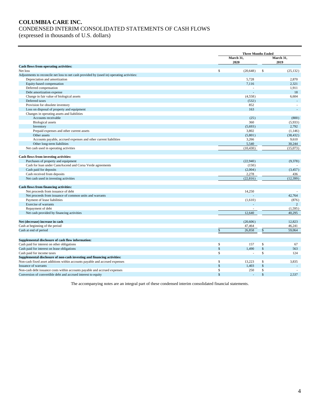# **COLUMBIA CARE INC.** CONDENSED INTERIM CONSOLIDATED STATEMENTS OF CASH FLOWS (expressed in thousands of U.S. dollars)

|                                                                                           |              | <b>Three Months Ended</b> |               |                   |
|-------------------------------------------------------------------------------------------|--------------|---------------------------|---------------|-------------------|
|                                                                                           |              | March 31,<br>2020         |               | March 31,<br>2019 |
| Cash flows from operating activities:                                                     |              |                           |               |                   |
| Net loss                                                                                  | $\mathbb{S}$ | (20, 648)                 | \$            | (25, 132)         |
| Adjustments to reconcile net loss to net cash provided by (used in) operating activities: |              |                           |               |                   |
| Depreciation and amortization                                                             |              | 5,728                     |               | 2,870             |
| Equity-based compensation                                                                 |              | 7,116                     |               | 2,321             |
| Deferred compensation                                                                     |              |                           |               | 1.911             |
| Debt amortization expense                                                                 |              |                           |               | 18                |
| Change in fair value of biological assets                                                 |              | (4,558)                   |               | 6,604             |
| Deferred taxes                                                                            |              | (532)                     |               |                   |
| Provision for obsolete inventory                                                          |              | 852                       |               |                   |
| Loss on disposal of property and equipment                                                |              | 163                       |               |                   |
| Changes in operating assets and liabilities                                               |              |                           |               |                   |
| Accounts receivable                                                                       |              | (25)                      |               | (800)             |
| <b>Biological</b> assets                                                                  |              | 360                       |               | (5,933)           |
| Inventory                                                                                 |              | (5,693)                   |               | 2,792             |
| Prepaid expenses and other current assets                                                 |              | 3,802                     |               | (1, 146)          |
| Other assets                                                                              |              | (5,801)                   |               | (38, 432)         |
| Accounts payable, accrued expenses and other current liabilities                          |              | 3,266                     |               | 9,610             |
| Other long-term liabilities                                                               |              | 5,540                     |               | 30,244            |
| Net cash used in operating activities                                                     |              | (10, 430)                 |               | (15,073)          |
|                                                                                           |              |                           |               |                   |
| Cash flows from investing activities:                                                     |              |                           |               |                   |
| Purchases of property and equipment                                                       |              | (22,940)                  |               | (9,378)           |
| Cash for loan under CannAscend and Corsa Verde agreements                                 |              | (150)                     |               |                   |
| Cash paid for deposits                                                                    |              | (2,004)                   |               | (3, 457)          |
| Cash received from deposits                                                               |              | 2,278                     |               | 436               |
| Net cash used in investing activities                                                     |              | (22,816)                  |               | (12, 399)         |
| <b>Cash flows from financing activities:</b>                                              |              |                           |               |                   |
| Net proceeds from issuance of debt                                                        |              | 14,250                    |               |                   |
| Net proceeds from issuance of common units and warrants                                   |              |                           |               | 42,764            |
| Payment of lease liabilities                                                              |              | (1,610)                   |               | (876)             |
| <b>Exercise of warrants</b>                                                               |              |                           |               | 2                 |
| Repayment of debt                                                                         |              |                           |               | (1, 595)          |
| Net cash provided by financing activities                                                 |              | 12,640                    |               | 40,295            |
|                                                                                           |              |                           |               |                   |
| Net (decrease) increase in cash                                                           |              | (20,606)                  |               | 12,823            |
| Cash at beginning of the period                                                           |              | 47,464                    |               | 46,241            |
| Cash at end of period                                                                     | \$           | 26,858                    | \$            | 59,064            |
| Supplemental disclosure of cash flow information:                                         |              |                           |               |                   |
|                                                                                           | $\mathbb{S}$ | 157                       | \$            |                   |
| Cash paid for interest on other obligations                                               | \$           |                           |               | 67                |
| Cash paid for interest on lease obligations                                               |              | 1,490                     | $\mathcal{S}$ | 563               |
| Cash paid for income taxes                                                                | \$           | ÷                         | \$            | 124               |
| Supplemental disclosure of non-cash investing and financing activities:                   |              |                           |               |                   |
| Non-cash fixed asset additions within accounts payable and accrued expenses               | \$           | 13,223                    | \$            | 3,835             |
| <b>Issuance of warrants</b>                                                               | \$           | 1,403                     | $\mathsf{\$}$ |                   |
| Non-cash debt issuance costs within accounts payable and accrued expenses                 | $\mathbf S$  | 250                       | \$            |                   |
| Conversion of convertible debt and accrued interest to equity                             | \$           |                           | $\mathsf{\$}$ | 2,537             |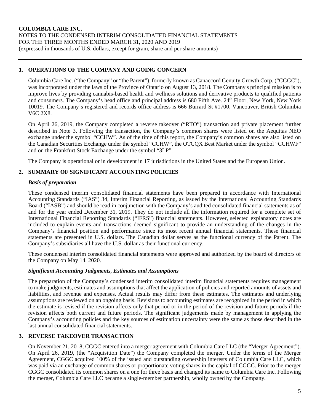# **1. OPERATIONS OF THE COMPANY AND GOING CONCERN**

Columbia Care Inc. ("the Company" or "the Parent"), formerly known as Canaccord Genuity Growth Corp. ("CGGC"), was incorporated under the laws of the Province of Ontario on August 13, 2018. The Company's principal mission is to improve lives by providing cannabis-based health and wellness solutions and derivative products to qualified patients and consumers. The Company's head office and principal address is 680 Fifth Ave. 24th Floor, New York, New York 10019. The Company's registered and records office address is 666 Burrard St #1700, Vancouver, British Columbia V6C 2X8.

On April 26, 2019, the Company completed a reverse takeover ("RTO") transaction and private placement further described in Note 3. Following the transaction, the Company's common shares were listed on the Aequitas NEO exchange under the symbol "CCHW". As of the time of this report, the Company's common shares are also listed on the Canadian Securities Exchange under the symbol "CCHW", the OTCQX Best Market under the symbol "CCHWF" and on the Frankfurt Stock Exchange under the symbol "3LP".

The Company is operational or in development in 17 jurisdictions in the United States and the European Union.

# **2. SUMMARY OF SIGNIFICANT ACCOUNTING POLICIES**

# *Basis of preparation*

These condensed interim consolidated financial statements have been prepared in accordance with International Accounting Standards ("IAS") 34, Interim Financial Reporting, as issued by the International Accounting Standards Board ("IASB") and should be read in conjunction with the Company's audited consolidated financial statements as of and for the year ended December 31, 2019. They do not include all the information required for a complete set of International Financial Reporting Standards ("IFRS") financial statements. However, selected explanatory notes are included to explain events and transactions deemed significant to provide an understanding of the changes in the Company's financial position and performance since its most recent annual financial statements. These financial statements are presented in U.S. dollars. The Canadian dollar serves as the functional currency of the Parent. The Company's subsidiaries all have the U.S. dollar as their functional currency.

These condensed interim consolidated financial statements were approved and authorized by the board of directors of the Company on May 14, 2020.

## *Significant Accounting Judgments, Estimates and Assumptions*

The preparation of the Company's condensed interim consolidated interim financial statements requires management to make judgments, estimates and assumptions that affect the application of policies and reported amounts of assets and liabilities, and revenue and expenses. Actual results may differ from these estimates. The estimates and underlying assumptions are reviewed on an ongoing basis. Revisions to accounting estimates are recognized in the period in which the estimate is revised if the revision affects only that period or in the period of the revision and future periods if the revision affects both current and future periods. The significant judgements made by management in applying the Company's accounting policies and the key sources of estimation uncertainty were the same as those described in the last annual consolidated financial statements.

# **3. REVERSE TAKEOVER TRANSACTION**

On November 21, 2018, CGGC entered into a merger agreement with Columbia Care LLC (the "Merger Agreement"). On April 26, 2019, (the "Acquisition Date") the Company completed the merger. Under the terms of the Merger Agreement, CGGC acquired 100% of the issued and outstanding ownership interests of Columbia Care LLC, which was paid via an exchange of common shares or proportionate voting shares in the capital of CGGC. Prior to the merger CGGC consolidated its common shares on a one for three basis and changed its name to Columbia Care Inc. Following the merger, Columbia Care LLC became a single-member partnership, wholly owned by the Company.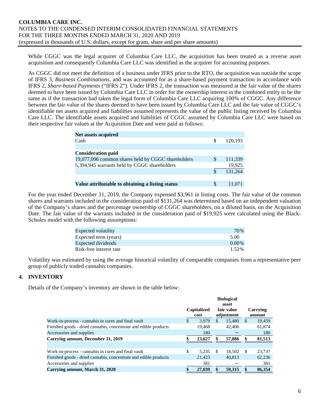While CGGC was the legal acquirer of Columbia Care LLC, the acquisition has been treated as a reverse asset acquisition and consequently Columbia Care LLC was identified as the acquirer for accounting purposes.

As CGGC did not meet the definition of a business under IFRS prior to the RTO, the acquisition was outside the scope of IFRS 3, *Business Combinations*, and was accounted for as a share-based payment transaction in accordance with IFRS 2, *Share-based Payments* ("IFRS 2"). Under IFRS 2, the transaction was measured at the fair value of the shares deemed to have been issued by Columbia Care LLC in order for the ownership interest in the combined entity to be the same as if the transaction had taken the legal form of Columbia Care LLC acquiring 100% of CGGC. Any difference between the fair value of the shares deemed to have been issued by Columbia Care LLC and the fair value of CGGC's identifiable net assets acquired and liabilities assumed represents the value of the public listing received by Columbia Care LLC. The identifiable assets acquired and liabilities of CGGC assumed by Columbia Care LLC were based on their respective fair values at the Acquisition Date and were paid as follows:

| <b>Net assets acquired</b>                         |     |         |
|----------------------------------------------------|-----|---------|
| Cash                                               | \$  | 120.193 |
|                                                    |     |         |
| <b>Consideration paid</b>                          |     |         |
| 19,077,096 common shares held by CGGC shareholders | \$. | 111,339 |
| 5,394,945 warrants held by CGGC shareholders       |     | 19,925  |
|                                                    |     | 131.264 |
|                                                    |     |         |
| Value attributable to obtaining a listing status   | \$. | 11.071  |

For the year ended December 31, 2019, the Company expensed \$3,961 in listing costs. The fair value of the common shares and warrants included in the consideration paid of \$131,264 was determined based on an independent valuation of the Company's shares and the percentage ownership of CGGC shareholders, on a diluted basis, on the Acquisition Date. The fair value of the warrants included in the consideration paid of \$19,925 were calculated using the Black-Scholes model with the following assumptions:

| Expected volatility     | 70\%     |
|-------------------------|----------|
| Expected term (years)   | 5.00     |
| Expected dividends      | $0.00\%$ |
| Risk-free interest rate | 1.52%    |

Volatility was estimated by using the average historical volatility of comparable companies from a representative peer group of publicly traded cannabis companies.

#### **4. INVENTORY**

Details of the Company's inventory are shown in the table below:

|                                                                  | <b>Biological</b><br>asset<br>Capitalized<br>fair value<br>cost |        |     | adjustment | Carrying<br>amount |        |  |
|------------------------------------------------------------------|-----------------------------------------------------------------|--------|-----|------------|--------------------|--------|--|
| Work-in-process - cannabis in cures and final vault              | \$                                                              | 3.979  | \$. | 15,480     | <sup>\$</sup>      | 19,459 |  |
| Finished goods - dried cannabis, concentrate and edible products |                                                                 | 19.468 |     | 42,406     |                    | 61,874 |  |
| Accessories and supplies                                         |                                                                 | 180    |     |            |                    | 180    |  |
| Carrying amount, December 31, 2019                               |                                                                 | 23,627 |     | 57,886     | \$                 | 81,513 |  |
|                                                                  |                                                                 |        |     |            |                    |        |  |
| Work-in-process - cannabis in cures and final vault              | \$                                                              | 5.235  | -\$ | 18.502     | <sup>\$</sup>      | 23,737 |  |
| Finished goods - dried cannabis, concentrate and edible products |                                                                 | 21,423 |     | 40,813     |                    | 62,236 |  |
| Accessories and supplies                                         |                                                                 | 381    |     |            |                    | 381    |  |
| Carrying amount, March 31, 2020                                  |                                                                 | 27,039 |     | 59.315     | \$                 | 86,354 |  |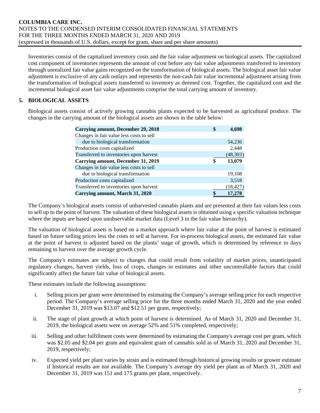Inventories consist of the capitalized inventory costs and the fair value adjustment on biological assets. The capitalized cost component of inventories represents the amount of cost before any fair value adjustments transferred to inventory through unrealized fair value gains recognized on the transformation of biological assets. The biological asset fair value adjustment is exclusive of any cash outlays and represents the non-cash fair value incremental adjustment arising from the transformation of biological assets transferred to inventory as deemed cost. Together, the capitalized cost and the incremental biological asset fair value adjustments comprise the total carrying amount of inventory.

# **5. BIOLOGICAL ASSETS**

Biological assets consist of actively growing cannabis plants expected to be harvested as agricultural produce. The changes in the carrying amount of the biological assets are shown in the table below:

| <b>Carrying amount, December 29, 2018</b> | 4.698        |
|-------------------------------------------|--------------|
| Changes in fair value less costs to sell  |              |
| due to biological transformation          | 54,236       |
| Production costs capitalized              | 2,448        |
| Transferred to inventories upon harvest   | (48,303)     |
| Carrying amount, December 31, 2019        | \$<br>13,079 |
| Changes in fair value less costs to sell  |              |
| due to biological transformation          | 19,108       |
| Production costs capitalized              | 3,518        |
| Transferred to inventories upon harvest   | (18, 427)    |
| Carrying amount, March 31, 2020           | 17,278       |

The Company's biological assets consist of unharvested cannabis plants and are presented at their fair values less costs to sell up to the point of harvest. The valuation of these biological assets is obtained using a specific valuation technique where the inputs are based upon unobservable market data (Level 3 in the fair value hierarchy).

The valuation of biological assets is based on a market approach where fair value at the point of harvest is estimated based on future selling prices less the costs to sell at harvest. For in-process biological assets, the estimated fair value at the point of harvest is adjusted based on the plants' stage of growth, which is determined by reference to days remaining to harvest over the average growth cycle.

The Company's estimates are subject to changes that could result from volatility of market prices, unanticipated regulatory changes, harvest yields, loss of crops, changes in estimates and other uncontrollable factors that could significantly affect the future fair value of biological assets.

These estimates include the following assumptions:

- i. Selling prices per gram were determined by estimating the Company's average selling price for each respective period. The Company's average selling price for the three months ended March 31, 2020 and the year ended December 31, 2019 was \$13.07 and \$12.51 per gram, respectively;
- ii. The stage of plant growth at which point of harvest is determined. As of March 31, 2020 and December 31, 2019, the biological assets were on average 52% and 51% completed, respectively;
- iii. Selling and other fulfillment costs were determined by estimating the Company's average cost per gram, which was \$2.05 and \$2.04 per gram and equivalent gram of cannabis sold as of March 31, 2020 and December 31, 2019, respectively;
- iv. Expected yield per plant varies by strain and is estimated through historical growing results or grower estimate if historical results are not available. The Company's average dry yield per plant as of March 31, 2020 and December 31, 2019 was 151 and 175 grams per plant, respectively.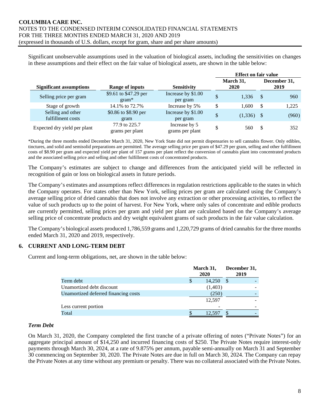Significant unobservable assumptions used in the valuation of biological assets, including the sensitivities on changes in these assumptions and their effect on the fair value of biological assets, are shown in the table below:

|                                        |                                  |                                  | <b>Effect on fair value</b> |                   |               |                      |
|----------------------------------------|----------------------------------|----------------------------------|-----------------------------|-------------------|---------------|----------------------|
| <b>Significant assumptions</b>         | <b>Range of inputs</b>           | <b>Sensitivity</b>               |                             | March 31,<br>2020 |               | December 31,<br>2019 |
| Selling price per gram                 | \$9.61 to \$47.29 per<br>$gram*$ | Increase by \$1.00<br>per gram   | \$                          | 1,336             | -\$           | 960                  |
| Stage of growth                        | 14.1% to 72.7%                   | Increase by 5%                   | \$                          | 1.600             | -S            | 1,225                |
| Selling and other<br>fulfillment costs | \$0.86 to \$8.90 per<br>gram     | Increase by \$1.00<br>per gram   | \$                          | $(1,336)$ \$      |               | (960)                |
| Expected dry yield per plant           | 77.9 to 225.7<br>grams per plant | Increase by 5<br>grams per plant | \$                          | 560               | <sup>\$</sup> | 352                  |

\*During the three months ended December March 31, 2020, New York State did not permit dispensaries to sell cannabis flower. Only edibles, tinctures, and solid and semisolid preparations are permitted. The average selling price per gram of \$47.29 per gram, selling and other fulfillment costs of \$8.90 per gram and expected yield per plant of 157 grams per plant reflect the conversion of cannabis plant into concentrated products and the associated selling price and selling and other fulfillment costs of concentrated products.

The Company's estimates are subject to change and differences from the anticipated yield will be reflected in recognition of gain or loss on biological assets in future periods.

The Company's estimates and assumptions reflect differences in regulation restrictions applicable to the states in which the Company operates. For states other than New York, selling prices per gram are calculated using the Company's average selling price of dried cannabis that does not involve any extraction or other processing activities, to reflect the value of such products up to the point of harvest. For New York, where only sales of concentrate and edible products are currently permitted, selling prices per gram and yield per plant are calculated based on the Company's average selling price of concentrate products and dry weight equivalent grams of such products in the fair value calculation.

The Company's biological assets produced 1,786,559 grams and 1,220,729 grams of dried cannabis for the three months ended March 31, 2020 and 2019, respectively.

# **6. CURRENT AND LONG-TERM DEBT**

Current and long-term obligations, net, are shown in the table below:

|                                      | March 31,<br>2020 | December 31,<br>2019 |  |
|--------------------------------------|-------------------|----------------------|--|
| Term debt                            | 14,250            | <sup>\$</sup>        |  |
| Unamortized debt discount            | (1,403)           |                      |  |
| Unamortized deferred financing costs | (250)             |                      |  |
|                                      | 12,597            |                      |  |
| Less current portion                 |                   |                      |  |
| Total                                | 12,597            |                      |  |

#### *Term Debt*

On March 31, 2020, the Company completed the first tranche of a private offering of notes ("Private Notes") for an aggregate principal amount of \$14,250 and incurred financing costs of \$250. The Private Notes require interest-only payments through March 30, 2024, at a rate of 9.875% per annum, payable semi-annually on March 31 and September 30 commencing on September 30, 2020. The Private Notes are due in full on March 30, 2024. The Company can repay the Private Notes at any time without any premium or penalty. There was no collateral associated with the Private Notes.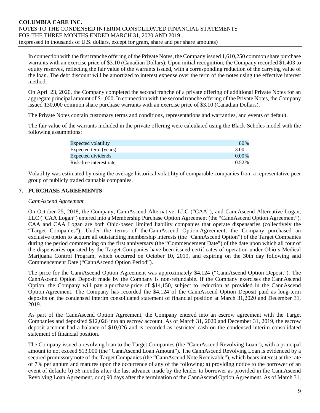In connection with the first tranche offering of the Private Notes, the Company issued 1,610,250 common share purchase warrants with an exercise price of \$3.10 (Canadian Dollars). Upon initial recognition, the Company recorded \$1,403 to equity reserves, reflecting the fair value of the warrants issued, with a corresponding reduction of the carrying value of the loan. The debt discount will be amortized to interest expense over the term of the notes using the effective interest method.

On April 23, 2020, the Company completed the second tranche of a private offering of additional Private Notes for an aggregate principal amount of \$1,000. In connection with the second tranche offering of the Private Notes, the Company issued 130,000 common share purchase warrants with an exercise price of \$3.10 (Canadian Dollars).

The Private Notes contain customary terms and conditions, representations and warranties, and events of default.

The fair value of the warrants included in the private offering were calculated using the Black-Scholes model with the following assumptions:

| Expected volatility     | 80\%     |
|-------------------------|----------|
| Expected term (years)   | 3.00     |
| Expected dividends      | $0.00\%$ |
| Risk-free interest rate | $0.52\%$ |
|                         |          |

Volatility was estimated by using the average historical volatility of comparable companies from a representative peer group of publicly traded cannabis companies.

# **7. PURCHASE AGREEMENTS**

#### *CannAscend Agreement*

On October 25, 2018, the Company, CannAscend Alternative, LLC ("CAA"), and CannAscend Alternative Logan, LLC ("CAA Logan") entered into a Membership Purchase Option Agreement (the "CannAscend Option Agreement"). CAA and CAA Logan are both Ohio-based limited liability companies that operate dispensaries (collectively the "Target Companies"). Under the terms of the CannAscend Option Agreement, the Company purchased an exclusive option to acquire all outstanding membership interests (the "CannAscend Option") of the Target Companies during the period commencing on the first anniversary (the "Commencement Date") of the date upon which all four of the dispensaries operated by the Target Companies have been issued certificates of operation under Ohio's Medical Marijuana Control Program, which occurred on October 10, 2019, and expiring on the 30th day following said Commencement Date ("CannAscend Option Period").

The price for the CannAscend Option Agreement was approximately \$4,124 ("CannAscend Option Deposit"). The CannAscend Option Deposit made by the Company is non-refundable. If the Company exercises the CannAscend Option, the Company will pay a purchase price of \$14,150, subject to reduction as provided in the CannAscend Option Agreement. The Company has recorded the \$4,124 of the CannAscend Option Deposit paid as long-term deposits on the condensed interim consolidated statement of financial position at March 31,2020 and December 31, 2019.

As part of the CannAscend Option Agreement, the Company entered into an escrow agreement with the Target Companies and deposited \$12,026 into an escrow account. As of March 31, 2020 and December 31, 2019, the escrow deposit account had a balance of \$10,026 and is recorded as restricted cash on the condensed interim consolidated statement of financial position.

The Company issued a revolving loan to the Target Companies (the "CannAscend Revolving Loan"), with a principal amount to not exceed \$13,000 (the "CannAscend Loan Amount"). The CannAscend Revolving Loan is evidenced by a secured promissory note of the Target Companies (the "CannAscend Note Receivable"), which bears interest at the rate of 7% per annum and matures upon the occurrence of any of the following: a) providing notice to the borrower of an event of default; b) 36 months after the last advance made by the lender to borrower as provided in the CannAscend Revolving Loan Agreement, or c) 90 days after the termination of the CannAscend Option Agreement. As of March 31,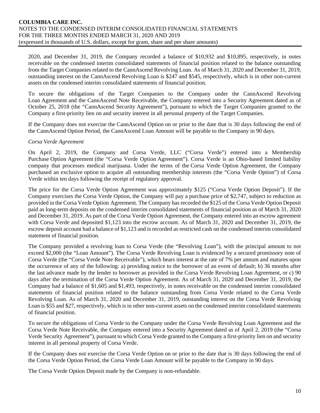2020, and December 31, 2019, the Company recorded a balance of \$10,932 and \$10,895, respectively, in notes receivable on the condensed interim consolidated statements of financial position related to the balance outstanding from the Target Companies related to the CannAscend Revolving Loan. As of March 31, 2020 and December 31, 2019, outstanding interest on the CannAscend Revolving Loan is \$247 and \$545, respectively, which is in other non-current assets on the condensed interim consolidated statements of financial position.

To secure the obligations of the Target Companies to the Company under the CannAscend Revolving Loan Agreement and the CannAscend Note Receivable, the Company entered into a Security Agreement dated as of October 25, 2018 (the "CannAscend Security Agreement"), pursuant to which the Target Companies granted to the Company a first-priority lien on and security interest in all personal property of the Target Companies.

If the Company does not exercise the CannAscend Option on or prior to the date that is 30 days following the end of the CannAscend Option Period, the CannAscend Loan Amount will be payable to the Company in 90 days.

# *Corsa Verde Agreement*

On April 2, 2019, the Company and Corsa Verde, LLC ("Corsa Verde") entered into a Membership Purchase Option Agreement (the "Corsa Verde Option Agreement"). Corsa Verde is an Ohio-based limited liability company that processes medical marijuana. Under the terms of the Corsa Verde Option Agreement, the Company purchased an exclusive option to acquire all outstanding membership interests (the "Corsa Verde Option") of Corsa Verde within ten days following the receipt of regulatory approval.

The price for the Corsa Verde Option Agreement was approximately \$125 ("Corsa Verde Option Deposit"). If the Company exercises the Corsa Verde Option, the Company will pay a purchase price of \$2,747, subject to reduction as provided in the Corsa Verde Option Agreement. The Company has recorded the \$125 of the Corsa Verde Option Deposit paid as long-term deposits on the condensed interim consolidated statements of financial position as of March 31, 2020 and December 31, 2019. As part of the Corsa Verde Option Agreement, the Company entered into an escrow agreement with Corsa Verde and deposited \$1,123 into the escrow account. As of March 31, 2020 and December 31, 2019, the escrow deposit account had a balance of \$1,123 and is recorded as restricted cash on the condensed interim consolidated statement of financial position.

The Company provided a revolving loan to Corsa Verde (the "Revolving Loan"), with the principal amount to not exceed \$2,000 (the "Loan Amount"). The Corsa Verde Revolving Loan is evidenced by a secured promissory note of Corsa Verde (the "Corsa Verde Note Receivable"), which bears interest at the rate of 7% per annum and matures upon the occurrence of any of the following: a) providing notice to the borrower of an event of default; b) 36 months after the last advance made by the lender to borrower as provided in the Corsa Verde Revolving Loan Agreement, or c) 90 days after the termination of the Corsa Verde Option Agreement. As of March 31, 2020 and December 31, 2019, the Company had a balance of \$1,605 and \$1,493, respectively, in notes receivable on the condensed interim consolidated statements of financial position related to the balance outstanding from Corsa Verde related to the Corsa Verde Revolving Loan. As of March 31, 2020 and December 31, 2019, outstanding interest on the Corsa Verde Revolving Loan is \$55 and \$27, respectively, which is in other non-current assets on the condensed interim consolidated statements of financial position.

To secure the obligations of Corsa Verde to the Company under the Corsa Verde Revolving Loan Agreement and the Corsa Verde Note Receivable, the Company entered into a Security Agreement dated as of April 2, 2019 (the "Corsa Verde Security Agreement"), pursuant to which Corsa Verde granted to the Company a first-priority lien on and security interest in all personal property of Corsa Verde.

If the Company does not exercise the Corsa Verde Option on or prior to the date that is 30 days following the end of the Corsa Verde Option Period, the Corsa Verde Loan Amount will be payable to the Company in 90 days.

The Corsa Verde Option Deposit made by the Company is non-refundable.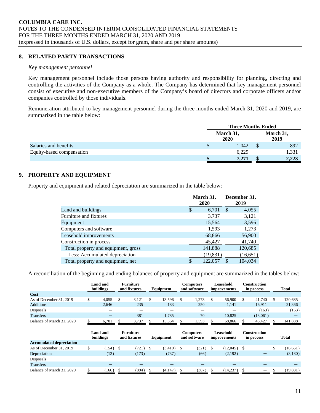#### **8. RELATED PARTY TRANSACTIONS**

#### *Key management personnel*

Key management personnel include those persons having authority and responsibility for planning, directing and controlling the activities of the Company as a whole. The Company has determined that key management personnel consist of executive and non-executive members of the Company's board of directors and corporate officers and/or companies controlled by those individuals.

Remuneration attributed to key management personnel during the three months ended March 31, 2020 and 2019, are summarized in the table below:

|                           | <b>Three Months Ended</b> |       |  |                   |  |  |
|---------------------------|---------------------------|-------|--|-------------------|--|--|
|                           | March 31,<br>2020         |       |  | March 31,<br>2019 |  |  |
| Salaries and benefits     |                           | 1.042 |  | 892               |  |  |
| Equity-based compensation |                           | 6,229 |  | 1.331             |  |  |
|                           |                           | 7,271 |  | 2,223             |  |  |

# **9. PROPERTY AND EQUIPMENT**

Property and equipment and related depreciation are summarized in the table below:

|                                     | March 31,<br>2020 |    | December 31,<br>2019 |
|-------------------------------------|-------------------|----|----------------------|
| Land and buildings                  | \$<br>6,701       | -S | 4,055                |
| Furniture and fixtures              | 3,737             |    | 3,121                |
| Equipment                           | 15,564            |    | 13,596               |
| Computers and software              | 1,593             |    | 1,273                |
| Leasehold improvements              | 68,866            |    | 56,900               |
| Construction in process             | 45,427            |    | 41,740               |
| Total property and equipment, gross | 141,888           |    | 120,685              |
| Less: Accumulated depreciation      | (19, 831)         |    | (16, 651)            |
| Total property and equipment, net   | \$<br>122,057     |    | 104,034              |

A reconciliation of the beginning and ending balances of property and equipment are summarized in the tables below:

|                                 | Land and<br>buildings |            |    | <b>Furniture</b><br>and fixtures |    | Equipment    |                                  | <b>Computers</b><br>and software |    | Leasehold<br><i>improvements</i> |    | <b>Construction</b><br>in process | <b>Total</b>    |
|---------------------------------|-----------------------|------------|----|----------------------------------|----|--------------|----------------------------------|----------------------------------|----|----------------------------------|----|-----------------------------------|-----------------|
| Cost                            |                       |            |    |                                  |    |              |                                  |                                  |    |                                  |    |                                   |                 |
| As of December 31, 2019         | \$                    | 4,055      | \$ | 3,121                            | \$ | 13,596       | \$                               | 1,273                            | \$ | 56,900                           | S. | 41,740                            | \$<br>120,685   |
| <b>Additions</b>                |                       | 2,646      |    | 235                              |    | 183          |                                  | 250                              |    | 1,141                            |    | 16,911                            | 21,366          |
| Disposals                       |                       |            |    |                                  |    |              |                                  |                                  |    |                                  |    | (163)                             | (163)           |
| <b>Transfers</b>                |                       |            |    | 381                              |    | 1.785        |                                  | 70                               |    | 10.825                           |    | (13,061)                          |                 |
| Balance of March 31, 2020       |                       | 6,701      |    | 3,737                            |    | 15,564       |                                  | 1,593                            |    | 68,866                           |    | 45,427                            | 141,888         |
|                                 | Land and<br>buildings |            |    | <b>Furniture</b><br>and fixtures |    |              | <b>Computers</b><br>and software |                                  |    |                                  |    |                                   |                 |
|                                 |                       |            |    |                                  |    | Equipment    |                                  |                                  |    | Leasehold<br>improvements        |    | <b>Construction</b><br>in process | Total           |
| <b>Accumulated depreciation</b> |                       |            |    |                                  |    |              |                                  |                                  |    |                                  |    |                                   |                 |
| As of December 31, 2019         | \$                    | $(154)$ \$ |    | (721)                            | \$ | $(3,410)$ \$ |                                  | (321)                            | -S | $(12,045)$ \$                    |    |                                   | \$<br>(16, 651) |
| Depreciation                    |                       | (12)       |    | (173)                            |    | (737)        |                                  | (66)                             |    | (2,192)                          |    |                                   | (3,180)         |
| <b>Disposals</b>                |                       |            |    |                                  |    |              |                                  |                                  |    |                                  |    |                                   |                 |
| <b>Transfers</b>                |                       |            |    |                                  |    |              |                                  |                                  |    |                                  |    |                                   |                 |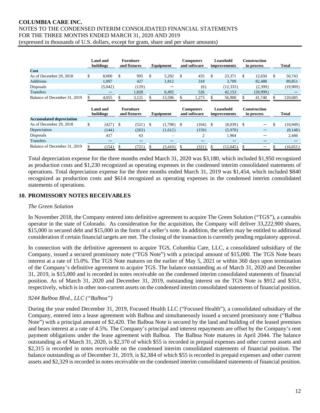|                                 |    | <b>Land and</b><br><b>Furniture</b><br>buildings<br>and fixtures |                                  |       |           | Equipment    |                                  | <b>Computers</b><br>and software |    | Leasehold<br><i>improvements</i> |    | <b>Construction</b><br>in process |    | Total        |  |
|---------------------------------|----|------------------------------------------------------------------|----------------------------------|-------|-----------|--------------|----------------------------------|----------------------------------|----|----------------------------------|----|-----------------------------------|----|--------------|--|
| Cost                            |    |                                                                  |                                  |       |           |              |                                  |                                  |    |                                  |    |                                   |    |              |  |
| As of December 29, 2018         | \$ | 8,000                                                            | \$                               | 995   | \$        | 5,292        | \$                               | 435                              | \$ | 23,371                           | \$ | 12,650                            | \$ | 50,743       |  |
| <b>Additions</b>                |    | 1.097                                                            |                                  | 427   |           | 1,812        |                                  | 318                              |    | 3.709                            |    | 82.488                            |    | 89,851       |  |
| Disposals                       |    | (5,042)                                                          |                                  | (129) |           |              |                                  | (6)                              |    | (12, 333)                        |    | (2,399)                           |    | (19,909)     |  |
| <b>Transfers</b>                |    |                                                                  |                                  | 1,828 |           | 6,492        |                                  | 526                              |    | 42,153                           |    | (50,999)                          |    |              |  |
| Balance of December 31, 2019    |    | 4,055                                                            |                                  | 3,121 |           | 13,596       |                                  | 1,273                            |    | 56,900                           |    | 41,740                            |    | 120,685      |  |
|                                 |    | Land and<br>buildings                                            | <b>Furniture</b><br>and fixtures |       | Equipment |              | <b>Computers</b><br>and software |                                  |    | Leasehold<br><i>improvements</i> |    | <b>Construction</b><br>in process |    | <b>Total</b> |  |
| <b>Accumulated depreciation</b> |    |                                                                  |                                  |       |           |              |                                  |                                  |    |                                  |    |                                   |    |              |  |
| As of December 29, 2018         | \$ | $(427)$ \$                                                       |                                  | (521) | \$        | $(1,798)$ \$ |                                  | $(164)$ \$                       |    | $(8,039)$ \$                     |    |                                   | \$ | (10, 949)    |  |
| Depreciation                    |    | (144)                                                            |                                  | (263) |           | (1,612)      |                                  | (159)                            |    | (5,970)                          |    |                                   |    | (8,148)      |  |
| Disposals                       |    | 417                                                              |                                  | 63    |           | -            |                                  | $\overline{2}$                   |    | 1,964                            |    |                                   |    | 2,446        |  |
|                                 |    |                                                                  |                                  |       |           |              |                                  |                                  |    |                                  |    |                                   |    |              |  |
| <b>Transfers</b>                |    |                                                                  |                                  |       |           |              |                                  |                                  |    |                                  |    |                                   |    |              |  |

Total depreciation expense for the three months ended March 31, 2020 was \$3,180, which included \$1,950 recognized as production costs and \$1,230 recognized as operating expenses in the condensed interim consolidated statements of operations. Total depreciation expense for the three months ended March 31, 2019 was \$1,454, which included \$840 recognized as production costs and \$614 recognized as operating expenses in the condensed interim consolidated statements of operations.

# **10. PROMISSORY NOTES RECEIVABLES**

#### *The Green Solution*

In November 2018, the Company entered into definitive agreement to acquire The Green Solution ("TGS"), a cannabis operator in the state of Colorado. As consideration for the acquisition, the Company will deliver 33,222,900 shares, \$15,000 in secured debt and \$15,000 in the form of a seller's note. In addition, the sellers may be entitled to additional consideration if certain financial targets are met. The closing of the transaction is currently pending regulatory approval.

In connection with the definitive agreement to acquire TGS, Columbia Care, LLC, a consolidated subsidiary of the Company, issued a secured promissory note ("TGS Note") with a principal amount of \$15,000. The TGS Note bears interest at a rate of 15.0%. The TGS Note matures on the earlier of May 5, 2021 or within 360 days upon termination of the Company's definitive agreement to acquire TGS. The balance outstanding as of March 31, 2020 and December 31, 2019, is \$15,000 and is recorded in notes receivable on the condensed interim consolidated statements of financial position. As of March 31, 2020 and December 31, 2019, outstanding interest on the TGS Note is \$912 and \$351, respectively, which is in other non-current assets on the condensed interim consolidated statements of financial position.

# *9244 Balboa Blvd., LLC ("Balboa")*

During the year ended December 31, 2019, Focused Health LLC ("Focused Health"), a consolidated subsidiary of the Company, entered into a lease agreement with Balboa and simultaneously issued a secured promissory note ("Balboa Note") with a principal amount of \$2,420. The Balboa Note is secured by the land and building of the leased premises and bears interest at a rate of 4.5%. The Company's principal and interest repayments are offset by the Company's rent payment obligations under the lease agreement with Balboa. The Balboa Note matures in April 2044. The balance outstanding as of March 31, 2020, is \$2,370 of which \$55 is recorded in prepaid expenses and other current assets and \$2,315 is recorded in notes receivable on the condensed interim consolidated statements of financial position. The balance outstanding as of December 31, 2019, is \$2,384 of which \$55 is recorded in prepaid expenses and other current assets and \$2,329 is recorded in notes receivable on the condensed interim consolidated statements of financial position.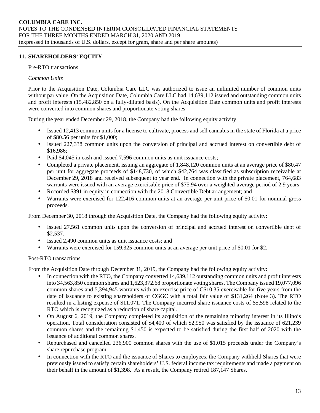# **11. SHAREHOLDERS' EQUITY**

# Pre-RTO transactions

# *Common Units*

Prior to the Acquisition Date, Columbia Care LLC was authorized to issue an unlimited number of common units without par value. On the Acquisition Date, Columbia Care LLC had  $14,639,112$  issued and outstanding common units and profit interests (15,482,850 on a fully-diluted basis). On the Acquisition Date common units and profit interests were converted into common shares and proportionate voting shares.

During the year ended December 29, 2018, the Company had the following equity activity:

- Issued 12,413 common units for a license to cultivate, process and sell cannabis in the state of Florida at a price of \$80.56 per units for \$1,000;
- Issued 227,338 common units upon the conversion of principal and accrued interest on convertible debt of \$16,986;
- Paid \$4,045 in cash and issued 7,596 common units as unit issuance costs;
- Completed a private placement, issuing an aggregate of 1,848,120 common units at an average price of \$80.47 per unit for aggregate proceeds of \$148,730, of which \$42,764 was classified as subscription receivable at December 29, 2018 and received subsequent to year end. In connection with the private placement, 764,683 warrants were issued with an average exercisable price of \$75.94 over a weighted-average period of 2.9 years
- Recorded \$391 in equity in connection with the 2018 Convertible Debt arrangement; and
- Warrants were exercised for 122,416 common units at an average per unit price of \$0.01 for nominal gross proceeds.

From December 30, 2018 through the Acquisition Date, the Company had the following equity activity:

- Issued 27,561 common units upon the conversion of principal and accrued interest on convertible debt of \$2,537.
- Issued 2,490 common units as unit issuance costs; and
- Warrants were exercised for 159,325 common units at an average per unit price of \$0.01 for \$2.

#### Post-RTO transactions

From the Acquisition Date through December 31, 2019, the Company had the following equity activity:

- In connection with the RTO, the Company converted 14,639,112 outstanding common units and profit interests into 34,563,850 common shares and 1,623,372.68 proportionate voting shares. The Company issued 19,077,096 common shares and 5,394,945 warrants with an exercise price of C\$10.35 exercisable for five years from the date of issuance to existing shareholders of CGGC with a total fair value of \$131,264 (Note 3). The RTO resulted in a listing expense of \$11,071. The Company incurred share issuance costs of \$5,598 related to the RTO which is recognized as a reduction of share capital.
- On August 6, 2019, the Company completed its acquisition of the remaining minority interest in its Illinois operation. Total consideration consisted of \$4,400 of which \$2,950 was satisfied by the issuance of 621,239 common shares and the remaining \$1,450 is expected to be satisfied during the first half of 2020 with the issuance of additional common shares.
- Repurchased and cancelled 236,900 common shares with the use of \$1,015 proceeds under the Company's share repurchase program.
- In connection with the RTO and the issuance of Shares to employees, the Company withheld Shares that were previously issued to satisfy certain shareholders' U.S. federal income tax requirements and made a payment on their behalf in the amount of \$1,398. As a result, the Company retired 187,147 Shares.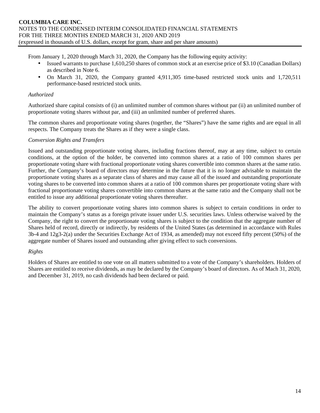From January 1, 2020 through March 31, 2020, the Company has the following equity activity:

- Issued warrants to purchase 1,610,250 shares of common stock at an exercise price of \$3.10 (Canadian Dollars) as described in Note 6.
- On March 31, 2020, the Company granted 4,911,305 time-based restricted stock units and 1,720,511 performance-based restricted stock units.

# *Authorized*

Authorized share capital consists of (i) an unlimited number of common shares without par (ii) an unlimited number of proportionate voting shares without par, and (iii) an unlimited number of preferred shares.

The common shares and proportionate voting shares (together, the "Shares") have the same rights and are equal in all respects. The Company treats the Shares as if they were a single class.

#### *Conversion Rights and Transfers*

Issued and outstanding proportionate voting shares, including fractions thereof, may at any time, subject to certain conditions, at the option of the holder, be converted into common shares at a ratio of 100 common shares per proportionate voting share with fractional proportionate voting shares convertible into common shares at the same ratio. Further, the Company's board of directors may determine in the future that it is no longer advisable to maintain the proportionate voting shares as a separate class of shares and may cause all of the issued and outstanding proportionate voting shares to be converted into common shares at a ratio of 100 common shares per proportionate voting share with fractional proportionate voting shares convertible into common shares at the same ratio and the Company shall not be entitled to issue any additional proportionate voting shares thereafter.

The ability to convert proportionate voting shares into common shares is subject to certain conditions in order to maintain the Company's status as a foreign private issuer under U.S. securities laws. Unless otherwise waived by the Company, the right to convert the proportionate voting shares is subject to the condition that the aggregate number of Shares held of record, directly or indirectly, by residents of the United States (as determined in accordance with Rules 3b-4 and 12g3-2(a) under the Securities Exchange Act of 1934, as amended) may not exceed fifty percent (50%) of the aggregate number of Shares issued and outstanding after giving effect to such conversions.

#### *Rights*

Holders of Shares are entitled to one vote on all matters submitted to a vote of the Company's shareholders. Holders of Shares are entitled to receive dividends, as may be declared by the Company's board of directors. As of Mach 31, 2020, and December 31, 2019, no cash dividends had been declared or paid.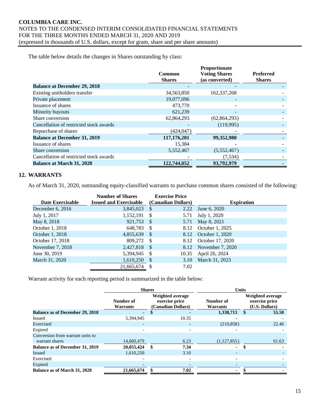The table below details the changes in Shares outstanding by class:

|                                         |               | Proportionate        |                  |
|-----------------------------------------|---------------|----------------------|------------------|
|                                         | Common        | <b>Voting Shares</b> | <b>Preferred</b> |
|                                         | <b>Shares</b> | (as converted)       | <b>Shares</b>    |
| <b>Balance at December 29, 2018</b>     |               |                      |                  |
| Existing unitholders transfer           | 34,563,850    | 162, 337, 268        |                  |
| Private placement                       | 19,077,096    |                      |                  |
| Issuance of shares                      | 473,770       |                      |                  |
| Minority buyouts                        | 621,239       |                      |                  |
| Share conversion                        | 62,864,293    | (62, 864, 293)       |                  |
| Cancellation of restricted stock awards |               | (119,995)            |                  |
| Repurchase of shares                    | (424, 047)    |                      |                  |
| <b>Balance at December 31, 2019</b>     | 117,176,201   | 99,352,980           |                  |
| Issuance of shares                      | 15,384        |                      |                  |
| Share conversion                        | 5,552,467     | (5,552,467)          |                  |
| Cancellation of restricted stock awards |               | (7, 534)             |                  |
| <b>Balance at March 31, 2020</b>        | 122,744,052   | 93,792,979           |                  |

# **12. WARRANTS**

As of March 31, 2020, outstanding equity-classified warrants to purchase common shares consisted of the following:

|                    | <b>Number of Shares</b>       |      | <b>Exercise Price</b> |                      |
|--------------------|-------------------------------|------|-----------------------|----------------------|
| Date Exercisable   | <b>Issued and Exercisable</b> |      | (Canadian Dollars)    | <b>Expiration</b>    |
| December $6, 2016$ | 3,845,023                     | - S  | 2.22                  | June 6, 2020         |
| July 1, 2017       | 1,152,191                     | -S   | 5.71                  | July 1, 2020         |
| May 8, 2018        | 921,753                       | - \$ | 5.71                  | May 8, 2021          |
| October 1, 2018    | 648,783                       | - \$ | 8.12                  | October 1, 2025      |
| October 1, 2018    | 4,855,639                     | - \$ |                       | 8.12 October 1, 2020 |
| October 17, 2018   | 809,272                       | - \$ | 8.12                  | October 17, 2020     |
| November 7, 2018   | 2,427,818                     | - \$ | 8.12                  | November 7, 2020     |
| June 30, 2019      | 5,394,945                     | - \$ | 10.35                 | April 26, 2024       |
| March 31, 2020     | 1,610,250                     | - \$ | 3.10                  | March 31, 2023       |
|                    | 21.665.674                    | - S  | 7.02                  |                      |

Warrant activity for each reporting period is summarized in the table below:

|                                                    | <b>Shares</b>            |                                                          | <b>Units</b>                           |                                                             |  |  |  |  |
|----------------------------------------------------|--------------------------|----------------------------------------------------------|----------------------------------------|-------------------------------------------------------------|--|--|--|--|
|                                                    | Number of<br>Warrants    | Weighted average<br>exercise price<br>(Canadian Dollars) | Number of<br>Warrants                  | <b>Weighted average</b><br>exercise price<br>(U.S. Dollars) |  |  |  |  |
| <b>Balance as of December 29, 2018</b>             | $\sim$                   |                                                          | 1,338,713                              | 55.50<br>\$                                                 |  |  |  |  |
| <b>Issued</b>                                      | 5.394.945                | 10.35                                                    |                                        |                                                             |  |  |  |  |
| Exercised                                          | $\overline{\phantom{a}}$ |                                                          | (210, 858)<br>$\overline{\phantom{a}}$ | 22.46                                                       |  |  |  |  |
| Expired                                            |                          |                                                          | $\overline{\phantom{0}}$               |                                                             |  |  |  |  |
| Conversion from warrant units to<br>warrant shares | 14,660,479               | 6.23                                                     | (1,127,855)                            | 61.63                                                       |  |  |  |  |
| <b>Balance as of December 31, 2019</b>             | 20,055,424               | 7.34<br>\$                                               | ۰.                                     | \$                                                          |  |  |  |  |
| Issued                                             | 1,610,250                | 3.10                                                     |                                        |                                                             |  |  |  |  |
| Exercised                                          |                          |                                                          | ۰                                      |                                                             |  |  |  |  |
| Expired                                            |                          |                                                          |                                        |                                                             |  |  |  |  |
| Balance as of March 31, 2020                       | 21,665,674               | 7.02                                                     |                                        |                                                             |  |  |  |  |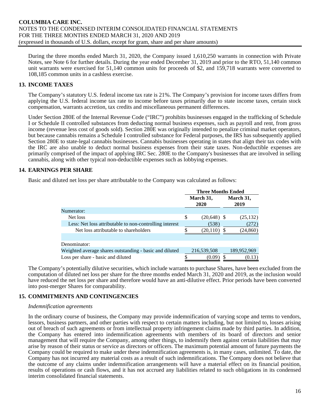During the three months ended March 31, 2020, the Company issued 1,610,250 warrants in connection with Private Notes, see Note 6 for further details. During the year ended December 31, 2019 and prior to the RTO, 51,140 common unit warrants were exercised for 51,140 common units for proceeds of \$2, and 159,718 warrants were converted to 108,185 common units in a cashless exercise.

# **13. INCOME TAXES**

The Company's statutory U.S. federal income tax rate is 21%. The Company's provision for income taxes differs from applying the U.S. federal income tax rate to income before taxes primarily due to state income taxes, certain stock compensation, warrants accretion, tax credits and miscellaneous permanent differences.

Under Section 280E of the Internal Revenue Code ("IRC") prohibits businesses engaged in the trafficking of Schedule I or Schedule II controlled substances from deducting normal business expenses, such as payroll and rent, from gross income (revenue less cost of goods sold). Section 280E was originally intended to penalize criminal market operators, but because cannabis remains a Schedule I controlled substance for Federal purposes, the IRS has subsequently applied Section 280E to state-legal cannabis businesses. Cannabis businesses operating in states that align their tax codes with the IRC are also unable to deduct normal business expenses from their state taxes. Non-deductible expenses are primarily comprised of the impact of applying IRC Sec. 280E to the Company's businesses that are involved in selling cannabis, along with other typical non-deductible expenses such as lobbying expenses.

# **14. EARNINGS PER SHARE**

Basic and diluted net loss per share attributable to the Company was calculated as follows:

|                                                         | <b>Three Months Ended</b> |     |             |
|---------------------------------------------------------|---------------------------|-----|-------------|
|                                                         | March 31,                 |     | March 31,   |
|                                                         | 2020                      |     | 2019        |
| Numerator:                                              |                           |     |             |
| Net loss                                                | \$<br>$(20,648)$ \$       |     | (25, 132)   |
| Less: Net loss attributable to non-controlling interest | (538)                     |     | (272)       |
| Net loss attributable to shareholders                   | (20, 110)                 | \$. | (24,860)    |
|                                                         |                           |     |             |
| Denominator:                                            |                           |     |             |
| Weighted average shares outstanding - basic and diluted | 216,539,508               |     | 189,952,969 |
| Loss per share - basic and diluted                      | (0.09)                    |     | (0.13)      |

The Company's potentially dilutive securities, which include warrants to purchase Shares, have been excluded from the computation of diluted net loss per share for the three months ended March 31, 2020 and 2019, as the inclusion would have reduced the net loss per share and therefore would have an anti-dilutive effect. Prior periods have been converted into post-merger Shares for comparability.

#### **15. COMMITMENTS AND CONTINGENCIES**

#### *Indemnification agreements*

In the ordinary course of business, the Company may provide indemnification of varying scope and terms to vendors, lessors, business partners, and other parties with respect to certain matters including, but not limited to, losses arising out of breach of such agreements or from intellectual property infringement claims made by third parties. In addition, the Company has entered into indemnification agreements with members of its board of directors and senior management that will require the Company, among other things, to indemnify them against certain liabilities that may arise by reason of their status or service as directors or officers. The maximum potential amount of future payments the Company could be required to make under these indemnification agreements is, in many cases, unlimited. To date, the Company has not incurred any material costs as a result of such indemnifications. The Company does not believe that the outcome of any claims under indemnification arrangements will have a material effect on its financial position, results of operations or cash flows, and it has not accrued any liabilities related to such obligations in its condensed interim consolidated financial statements.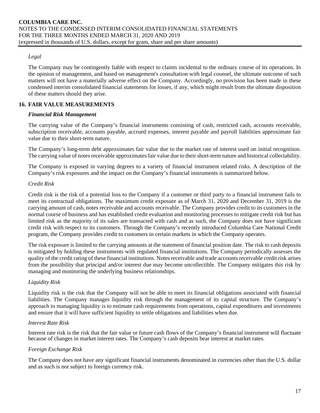# *Legal*

The Company may be contingently liable with respect to claims incidental to the ordinary course of its operations. In the opinion of management, and based on management's consultation with legal counsel, the ultimate outcome of such matters will not have a materially adverse effect on the Company. Accordingly, no provision has been made in these condensed interim consolidated financial statements for losses, if any, which might result from the ultimate disposition of these matters should they arise.

# **16. FAIR VALUE MEASUREMENTS**

# *Financial Risk Management*

The carrying value of the Company's financial instruments consisting of cash, restricted cash, accounts receivable, subscription receivable, accounts payable, accrued expenses, interest payable and payroll liabilities approximate fair value due to their short-term nature.

The Company's long-term debt approximates fair value due to the market rate of interest used on initial recognition. The carrying value of notes receivable approximates fair value due to their short-term nature and historical collectability.

The Company is exposed in varying degrees to a variety of financial instrument related risks. A description of the Company's risk exposures and the impact on the Company's financial instruments is summarized below.

# *Credit Risk*

Credit risk is the risk of a potential loss to the Company if a customer or third party to a financial instrument fails to meet its contractual obligations. The maximum credit exposure as of March 31, 2020 and December 31, 2019 is the carrying amount of cash, notes receivable and accounts receivable. The Company provides credit to its customers in the normal course of business and has established credit evaluation and monitoring processes to mitigate credit risk but has limited risk as the majority of its sales are transacted with cash and as such, the Company does not have significant credit risk with respect to its customers. Through the Company's recently introduced Columbia Care National Credit program, the Company provides credit to customers in certain markets in which the Company operates.

The risk exposure is limited to the carrying amounts at the statement of financial position date. The risk to cash deposits is mitigated by holding these instruments with regulated financial institutions. The Company periodically assesses the quality of the credit rating of these financial institutions. Notes receivable and trade accounts receivable credit risk arises from the possibility that principal and/or interest due may become uncollectible. The Company mitigates this risk by managing and monitoring the underlying business relationships.

# *Liquidity Risk*

Liquidity risk is the risk that the Company will not be able to meet its financial obligations associated with financial liabilities. The Company manages liquidity risk through the management of its capital structure. The Company's approach to managing liquidity is to estimate cash requirements from operations, capital expenditures and investments and ensure that it will have sufficient liquidity to settle obligations and liabilities when due.

#### *Interest Rate Risk*

Interest rate risk is the risk that the fair value or future cash flows of the Company's financial instrument will fluctuate because of changes in market interest rates. The Company's cash deposits bear interest at market rates.

#### *Foreign Exchange Risk*

The Company does not have any significant financial instruments denominated in currencies other than the U.S. dollar and as such is not subject to foreign currency risk.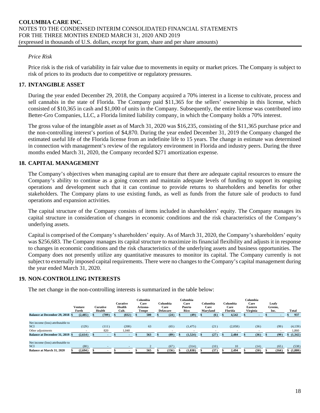# *Price Risk*

Price risk is the risk of variability in fair value due to movements in equity or market prices. The Company is subject to risk of prices to its products due to competitive or regulatory pressures.

# **17. INTANGIBLE ASSET**

During the year ended December 29, 2018, the Company acquired a 70% interest in a license to cultivate, process and sell cannabis in the state of Florida. The Company paid \$11,365 for the sellers' ownership in this license, which consisted of \$10,365 in cash and \$1,000 of units in the Company. Subsequently, the entire license was contributed into Better-Gro Companies, LLC, a Florida limited liability company, in which the Company holds a 70% interest.

The gross value of the intangible asset as of March 31, 2020 was \$16,235, consisting of the \$11,365 purchase price and the non-controlling interest's portion of \$4,870. During the year ended December 31, 2019 the Company changed the estimated useful life of the Florida license from an indefinite life to 15 years. The change in estimate was determined in connection with management's review of the regulatory environment in Florida and industry peers. During the three months ended March 31, 2020, the Company recorded \$271 amortization expense.

# **18. CAPITAL MANAGEMENT**

The Company's objectives when managing capital are to ensure that there are adequate capital resources to ensure the Company's ability to continue as a going concern and maintain adequate levels of funding to support its ongoing operations and development such that it can continue to provide returns to shareholders and benefits for other stakeholders. The Company plans to use existing funds, as well as funds from the future sale of products to fund operations and expansion activities.

The capital structure of the Company consists of items included in shareholders' equity. The Company manages its capital structure in consideration of changes in economic conditions and the risk characteristics of the Company's underlying assets.

Capital is comprised of the Company's shareholders' equity. As of March 31, 2020, the Company's shareholders' equity was \$256,683. The Company manages its capital structure to maximize its financial flexibility and adjusts it in response to changes in economic conditions and the risk characteristics of the underlying assets and business opportunities. The Company does not presently utilize any quantitative measures to monitor its capital. The Company currently is not subject to externally imposed capital requirements. There were no changes to the Company's capital management during the year ended March 31, 2020.

#### **19. NON-CONTROLLING INTERESTS**

The net change in the non-controlling interests is summarized in the table below:

|                                                 | Venture<br>Forth | <b>Curative</b><br>Health | <b>Curative</b><br>Health<br>Cult. | Columbia<br>Care<br>Arizona-<br>Tempe | Columbia<br>Care<br><b>Delaware</b> | Columbia<br>Care<br>Puerto<br>Rico | Columbia<br>Care<br>Maryland | Columbia<br>Care<br>Florida | Columbia<br>Care<br>Eastern<br><b>Virginia</b> | Leafy<br>Greens,<br>Inc. | Total   |
|-------------------------------------------------|------------------|---------------------------|------------------------------------|---------------------------------------|-------------------------------------|------------------------------------|------------------------------|-----------------------------|------------------------------------------------|--------------------------|---------|
| <b>Balance at December 29, 2018 \$</b>          | (2,485)          | (709)                     | (832)                              | 500                                   | (24)                                | (49)                               | (6)                          | 4.542                       |                                                |                          | 937     |
|                                                 |                  |                           |                                    |                                       |                                     |                                    |                              |                             |                                                |                          |         |
| Net income (loss) attributable to<br><b>NCI</b> | (129)            | (111)                     | (208)                              | 63                                    | (65)                                | (1, 475)                           | (21)                         | (2,058)                     | (36)                                           | (99)                     | (4,139) |
|                                                 |                  |                           |                                    |                                       |                                     |                                    |                              |                             |                                                |                          |         |
| Other adjustments                               |                  | 820                       | 1.040                              |                                       | $\overline{\phantom{a}}$            | $\overline{\phantom{a}}$           | ٠                            |                             |                                                |                          | 1.860   |
| <b>Balance at December 31, 2019 \$</b>          | (2,614)          |                           |                                    | 563                                   | (89)                                | (1,524)                            | (27)                         | 2.484                       | (36)                                           | (99)                     | (1,342) |
|                                                 |                  |                           |                                    |                                       |                                     |                                    |                              |                             |                                                |                          |         |
| Net income (loss) attributable to               |                  |                           |                                    |                                       |                                     |                                    |                              |                             |                                                |                          |         |
| <b>NCI</b>                                      | (80)             |                           |                                    |                                       | (67)                                | (314)                              | (10)                         | 10                          | (14)                                           | (65)                     | (538)   |
| <b>Balance at March 31, 2020</b>                | (2,694)          |                           |                                    | 565                                   | (156)                               | (1, 838)                           | (37)                         | 2,494                       | (50)                                           | (164)                    | (1,880) |